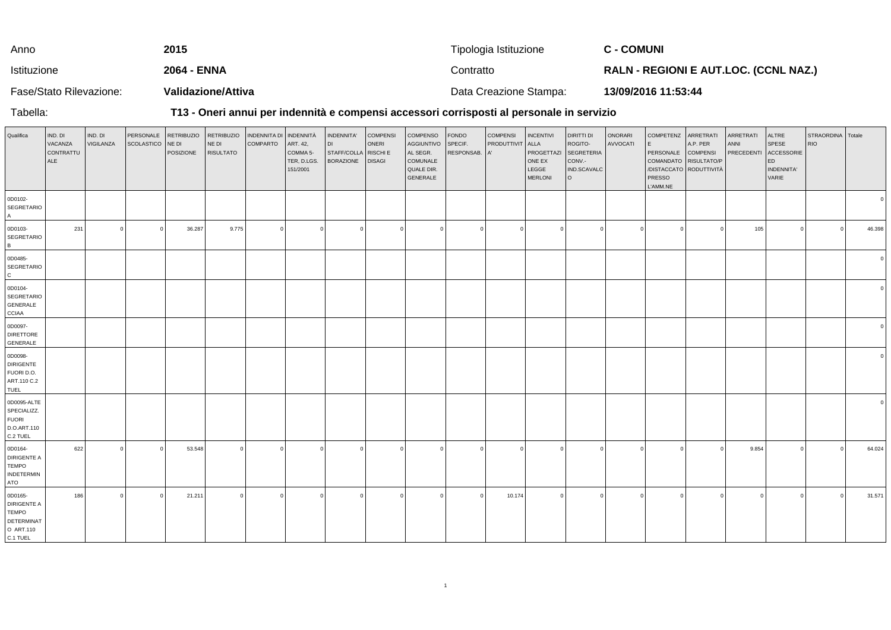| Anno                    | 2015               | Tipologia Istituzione  | <b>C - COMUNI</b>                            |
|-------------------------|--------------------|------------------------|----------------------------------------------|
| Istituzione             | 2064 - ENNA        | Contratto              | <b>RALN - REGIONI E AUT.LOC. (CCNL NAZ.)</b> |
| Fase/Stato Rilevazione: | Validazione/Attiva | Data Creazione Stampa: | 13/09/2016 11:53:44                          |

Tabella:

## **T13 - Oneri annui per indennità e compensi accessori corrisposti al personale in servizio**

| Qualifica                                                                            | IND. DI<br>VACANZA<br>CONTRATTU<br>ALE | IND. DI<br>VIGILANZA | PERSONALE<br>SCOLASTICO | <b>RETRIBUZIO</b><br>NE DI<br>POSIZIONE | <b>RETRIBUZIO</b><br>NE DI<br><b>RISULTATO</b> | INDENNITA DI INDENNITÀ<br><b>COMPARTO</b> | ART. 42,<br>COMMA <sub>5</sub> -<br>TER, D.LGS.<br>151/2001 | INDENNITA'<br><b>DI</b><br>STAFF/COLLA RISCHI E<br><b>BORAZIONE</b> | <b>COMPENSI</b><br>ONERI<br><b>DISAGI</b> | COMPENSO<br>AGGIUNTIVO<br>AL SEGR.<br>COMUNALE<br>QUALE DIR.<br>GENERALE | <b>FONDO</b><br>SPECIF.<br>RESPONSAB. A' | <b>COMPENSI</b><br>PRODUTTIVIT | <b>INCENTIVI</b><br>ALLA<br>PROGETTAZI<br>ONE EX<br>LEGGE<br><b>MERLONI</b> | DIRITTI DI<br>ROGITO-<br>SEGRETERIA<br>CONV.-<br>IND.SCAVALC<br>l o | ONORARI<br>AVVOCATI | COMPETENZ ARRETRATI<br>E.<br>PERSONALE COMPENSI<br>COMANDATO RISULTATO/P<br>PRESSO<br>L'AMM.NE | A.P. PER<br>/DISTACCATO RODUTTIVITÀ | ARRETRATI<br>ANNI<br><b>PRECEDENTI</b> | ALTRE<br>SPESE<br>ACCESSORIE<br>ED<br>INDENNITA'<br>VARIE | STRAORDINA Totale<br><b>RIO</b> |        |
|--------------------------------------------------------------------------------------|----------------------------------------|----------------------|-------------------------|-----------------------------------------|------------------------------------------------|-------------------------------------------|-------------------------------------------------------------|---------------------------------------------------------------------|-------------------------------------------|--------------------------------------------------------------------------|------------------------------------------|--------------------------------|-----------------------------------------------------------------------------|---------------------------------------------------------------------|---------------------|------------------------------------------------------------------------------------------------|-------------------------------------|----------------------------------------|-----------------------------------------------------------|---------------------------------|--------|
| 0D0102-<br>SEGRETARIO<br>$\overline{A}$                                              |                                        |                      |                         |                                         |                                                |                                           |                                                             |                                                                     |                                           |                                                                          |                                          |                                |                                                                             |                                                                     |                     |                                                                                                |                                     |                                        |                                                           |                                 |        |
| 0D0103-<br>SEGRETARIO<br>B <sub>1</sub>                                              | 231                                    | $\Omega$             | $\Omega$                | 36.287                                  | 9.775                                          | $\Omega$                                  | $\Omega$                                                    | $\Omega$                                                            | $\overline{0}$                            | $\Omega$                                                                 | $\Omega$                                 |                                |                                                                             | $\Omega$                                                            | $\Omega$            | $\circ$                                                                                        |                                     | 105                                    |                                                           |                                 | 46.398 |
| 0D0485-<br>SEGRETARIO<br>$\mathsf{C}$                                                |                                        |                      |                         |                                         |                                                |                                           |                                                             |                                                                     |                                           |                                                                          |                                          |                                |                                                                             |                                                                     |                     |                                                                                                |                                     |                                        |                                                           |                                 |        |
| 0D0104-<br>SEGRETARIO<br>GENERALE<br><b>CCIAA</b>                                    |                                        |                      |                         |                                         |                                                |                                           |                                                             |                                                                     |                                           |                                                                          |                                          |                                |                                                                             |                                                                     |                     |                                                                                                |                                     |                                        |                                                           |                                 |        |
| 0D0097-<br><b>DIRETTORE</b><br>GENERALE                                              |                                        |                      |                         |                                         |                                                |                                           |                                                             |                                                                     |                                           |                                                                          |                                          |                                |                                                                             |                                                                     |                     |                                                                                                |                                     |                                        |                                                           |                                 |        |
| 0D0098-<br><b>DIRIGENTE</b><br>FUORI D.O.<br>ART.110 C.2<br>TUEL                     |                                        |                      |                         |                                         |                                                |                                           |                                                             |                                                                     |                                           |                                                                          |                                          |                                |                                                                             |                                                                     |                     |                                                                                                |                                     |                                        |                                                           |                                 |        |
| 0D0095-ALTE<br>SPECIALIZZ.<br><b>FUORI</b><br>D.O.ART.110<br>C.2 TUEL                |                                        |                      |                         |                                         |                                                |                                           |                                                             |                                                                     |                                           |                                                                          |                                          |                                |                                                                             |                                                                     |                     |                                                                                                |                                     |                                        |                                                           |                                 |        |
| 0D0164-<br>DIRIGENTE A<br><b>TEMPO</b><br><b>INDETERMIN</b><br>ATO                   | 622                                    |                      | $\Omega$                | 53.548                                  | $\Omega$                                       | $\Omega$                                  |                                                             | $\Omega$                                                            | $\Omega$                                  |                                                                          |                                          |                                |                                                                             |                                                                     | $\Omega$            | $\Omega$                                                                                       |                                     | 9.854                                  |                                                           |                                 | 64.024 |
| 0D0165-<br><b>DIRIGENTE A</b><br><b>TEMPO</b><br>DETERMINAT<br>O ART.110<br>C.1 TUEL | 186                                    |                      |                         | 21.211                                  |                                                | $\Omega$                                  |                                                             |                                                                     | $\Omega$                                  |                                                                          |                                          | 10.174                         |                                                                             |                                                                     | $\Omega$            | $\Omega$                                                                                       |                                     |                                        |                                                           |                                 | 31.571 |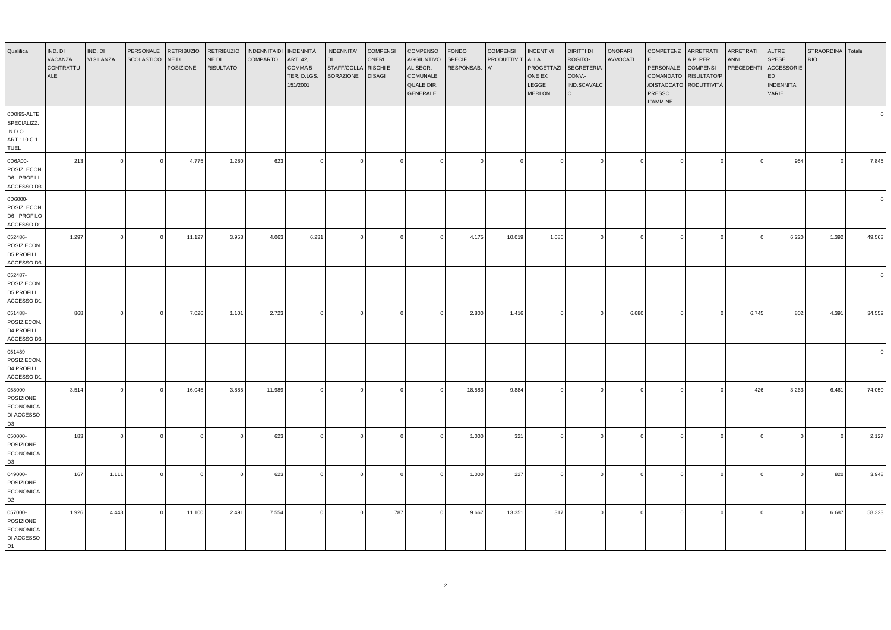| Qualifica                                                                | IND. DI<br>VACANZA<br>CONTRATTU<br>ALE | IND. DI<br>VIGILANZA | PERSONALE<br><b>SCOLASTICO</b> | <b>RETRIBUZIO</b><br>NE DI<br>POSIZIONE | <b>RETRIBUZIO</b><br>NE DI<br><b>RISULTATO</b> | <b>INDENNITA DI</b><br><b>COMPARTO</b> | INDENNITÀ<br>ART. 42,<br>COMMA 5-<br>TER, D.LGS.<br>151/2001 | INDENNITA'<br>STAFF/COLLA<br><b>BORAZIONE</b> | <b>COMPENSI</b><br>ONERI<br>RISCHI E<br><b>DISAGI</b> | <b>COMPENSO</b><br><b>AGGIUNTIVO</b><br>AL SEGR.<br>COMUNALE<br>QUALE DIR.<br>GENERALE | <b>FONDO</b><br>SPECIF.<br>RESPONSAB. | <b>COMPENSI</b><br>PRODUTTIVIT<br>A' | <b>INCENTIVI</b><br><b>ALLA</b><br>PROGETTAZI<br>ONE EX<br>LEGGE<br><b>MERLONI</b> | DIRITTI DI<br>ROGITO-<br><b>SEGRETERIA</b><br>CONV.-<br>IND.SCAVALC<br>l O | <b>ONORARI</b><br>AVVOCATI | COMPETENZ<br>F<br>PERSONALE<br><b>PRESSO</b><br>L'AMM.NE | ARRETRATI<br>A.P. PER<br><b>COMPENSI</b><br>COMANDATO RISULTATO/P<br>/DISTACCATO RODUTTIVITÀ | ARRETRATI<br><b>ANNI</b><br>PRECEDENTI | ALTRE<br>SPESE<br>ACCESSORIE<br>ED<br>INDENNITA'<br>VARIE | STRAORDINA<br><b>RIO</b> | Totale   |
|--------------------------------------------------------------------------|----------------------------------------|----------------------|--------------------------------|-----------------------------------------|------------------------------------------------|----------------------------------------|--------------------------------------------------------------|-----------------------------------------------|-------------------------------------------------------|----------------------------------------------------------------------------------------|---------------------------------------|--------------------------------------|------------------------------------------------------------------------------------|----------------------------------------------------------------------------|----------------------------|----------------------------------------------------------|----------------------------------------------------------------------------------------------|----------------------------------------|-----------------------------------------------------------|--------------------------|----------|
| 0D0I95-ALTE<br>SPECIALIZZ.<br>IN D.O.<br>ART.110 C.1<br>TUEL             |                                        |                      |                                |                                         |                                                |                                        |                                                              |                                               |                                                       |                                                                                        |                                       |                                      |                                                                                    |                                                                            |                            |                                                          |                                                                                              |                                        |                                                           |                          |          |
| 0D6A00-<br>POSIZ. ECON.<br>D6 - PROFILI<br>ACCESSO D3                    | 213                                    | $\overline{0}$       | $\Omega$                       | 4.775                                   | 1.280                                          | 623                                    | $\Omega$                                                     | $\Omega$                                      | $\Omega$                                              |                                                                                        | $\mathbf{0}$                          | $\Omega$                             | $\Omega$                                                                           | $\mathbf{0}$                                                               | $\Omega$                   |                                                          |                                                                                              | $\Omega$                               | 954                                                       | $\mathbf{0}$             | 7.845    |
| 0D6000-<br>POSIZ. ECON.<br>D6 - PROFILO<br>ACCESSO D1                    |                                        |                      |                                |                                         |                                                |                                        |                                                              |                                               |                                                       |                                                                                        |                                       |                                      |                                                                                    |                                                                            |                            |                                                          |                                                                                              |                                        |                                                           |                          | $\Omega$ |
| 052486-<br>POSIZ.ECON.<br>D5 PROFILI<br>ACCESSO D3                       | 1.297                                  | $\mathbf 0$          | $\Omega$                       | 11.127                                  | 3.953                                          | 4.063                                  | 6.231                                                        | $\overline{0}$                                | $\Omega$                                              |                                                                                        | 4.175                                 | 10.019                               | 1.086                                                                              | $\mathbf{0}$                                                               | $\mathbf 0$                |                                                          | $\Omega$                                                                                     | $\overline{0}$                         | 6.220                                                     | 1.392                    | 49.563   |
| 052487-<br>POSIZ.ECON.<br>D5 PROFILI<br>ACCESSO D1                       |                                        |                      |                                |                                         |                                                |                                        |                                                              |                                               |                                                       |                                                                                        |                                       |                                      |                                                                                    |                                                                            |                            |                                                          |                                                                                              |                                        |                                                           |                          |          |
| 051488-<br>POSIZ.ECON.<br>D4 PROFILI<br>ACCESSO D3                       | 868                                    | $\Omega$             | $\mathbf 0$                    | 7.026                                   | 1.101                                          | 2.723                                  | $\Omega$                                                     | $\overline{\mathbf{0}}$                       | $\Omega$                                              | $\Omega$                                                                               | 2.800                                 | 1.416                                | $\overline{0}$                                                                     | $\overline{0}$                                                             | 6.680                      | $\Omega$                                                 | $\Omega$                                                                                     | 6.745                                  | 802                                                       | 4.391                    | 34.552   |
| 051489-<br>POSIZ.ECON.<br>D4 PROFILI<br>ACCESSO D1                       |                                        |                      |                                |                                         |                                                |                                        |                                                              |                                               |                                                       |                                                                                        |                                       |                                      |                                                                                    |                                                                            |                            |                                                          |                                                                                              |                                        |                                                           |                          |          |
| 058000-<br>POSIZIONE<br><b>ECONOMICA</b><br>DI ACCESSO<br>D <sub>3</sub> | 3.514                                  | $\Omega$             | $\Omega$                       | 16.045                                  | 3.885                                          | 11.989                                 | $\Omega$                                                     | $\Omega$                                      | $\Omega$                                              |                                                                                        | 18.583                                | 9.884                                | $\Omega$                                                                           | $\Omega$                                                                   |                            |                                                          |                                                                                              | 426                                    | 3.263                                                     | 6.461                    | 74.050   |
| 050000-<br>POSIZIONE<br><b>ECONOMICA</b><br>D <sub>3</sub>               | 183                                    | $\Omega$             | $\overline{0}$                 | $\circ$                                 | $\Omega$                                       | 623                                    | $\Omega$                                                     | $\overline{0}$                                | $\Omega$                                              | $\Omega$                                                                               | 1.000                                 | 321                                  | $\Omega$                                                                           | $\overline{0}$                                                             | $\Omega$                   | $\Omega$                                                 | $\Omega$                                                                                     | $\Omega$                               | $\overline{0}$                                            | $\Omega$                 | 2.127    |
| 049000-<br>POSIZIONE<br><b>ECONOMICA</b><br>D <sub>2</sub>               | 167                                    | 1.111                | $\Omega$                       | $\circ$                                 | $\Omega$                                       | 623                                    | $\Omega$                                                     | $\Omega$                                      | $\Omega$                                              |                                                                                        | 1.000                                 | 227                                  | $\Omega$                                                                           | $\overline{0}$                                                             | $\Omega$                   |                                                          |                                                                                              | $\Omega$                               | $\overline{0}$                                            | 820                      | 3.948    |
| 057000-<br>POSIZIONE<br><b>ECONOMICA</b><br>DI ACCESSO<br>D1             | 1.926                                  | 4.443                | $\mathbf{0}$                   | 11.100                                  | 2.491                                          | 7.554                                  | $\Omega$                                                     | $\Omega$                                      | 787                                                   |                                                                                        | 9.667                                 | 13.351                               | 317                                                                                | $\overline{0}$                                                             | $\Omega$                   |                                                          |                                                                                              | $\Omega$                               | $\Omega$                                                  | 6.687                    | 58.323   |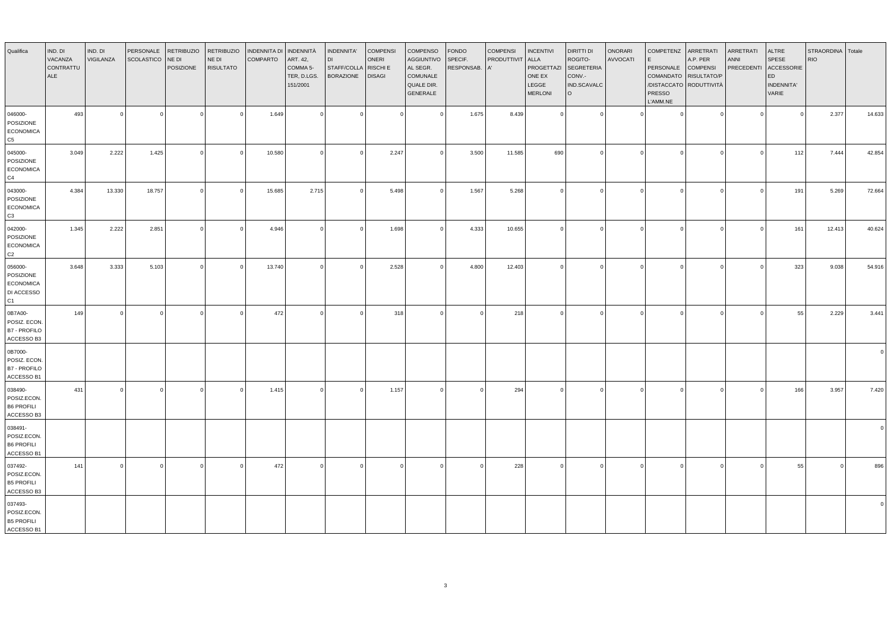| Qualifica                                                    | IND. DI<br>VACANZA<br>CONTRATTU<br>ALE | IND. DI<br>VIGILANZA | PERSONALE<br>SCOLASTICO | <b>RETRIBUZIO</b><br>NE DI<br>POSIZIONE | <b>RETRIBUZIO</b><br>NE DI<br><b>RISULTATO</b> | <b>INDENNITA DI</b><br>COMPARTO | <b>INDENNITÀ</b><br>ART. 42,<br>COMMA 5-<br>TER, D.LGS.<br>151/2001 | INDENNITA'<br>STAFF/COLLA<br><b>BORAZIONE</b> | <b>COMPENSI</b><br><b>ONERI</b><br><b>RISCHI E</b><br><b>DISAGI</b> | COMPENSO<br><b>AGGIUNTIVO</b><br>AL SEGR.<br>COMUNALE<br>QUALE DIR.<br>GENERALE | <b>FONDO</b><br>SPECIF.<br>RESPONSAB. | <b>COMPENSI</b><br>PRODUTTIVIT | <b>INCENTIVI</b><br>ALLA<br>PROGETTAZI<br>ONE EX<br>LEGGE<br><b>MERLONI</b> | <b>DIRITTI DI</b><br>ROGITO-<br><b>SEGRETERIA</b><br>CONV.-<br>IND.SCAVALC<br>$\circ$ | ONORARI<br>AVVOCATI | COMPETENZ<br>F<br>PERSONALE<br>COMANDATO<br>/DISTACCATO RODUTTIVITÀ<br><b>PRESSO</b><br>L'AMM.NE | ARRETRATI<br>A.P. PER<br><b>COMPENSI</b><br>RISULTATO/P | ARRETRATI<br><b>ANNI</b><br><b>PRECEDENTI</b> | <b>ALTRE</b><br><b>SPESE</b><br>ACCESSORIE<br>ED<br><b>INDENNITA'</b><br>VARIE | STRAORDINA Totale<br><b>RIO</b> |        |
|--------------------------------------------------------------|----------------------------------------|----------------------|-------------------------|-----------------------------------------|------------------------------------------------|---------------------------------|---------------------------------------------------------------------|-----------------------------------------------|---------------------------------------------------------------------|---------------------------------------------------------------------------------|---------------------------------------|--------------------------------|-----------------------------------------------------------------------------|---------------------------------------------------------------------------------------|---------------------|--------------------------------------------------------------------------------------------------|---------------------------------------------------------|-----------------------------------------------|--------------------------------------------------------------------------------|---------------------------------|--------|
| 046000-<br>POSIZIONE<br><b>ECONOMICA</b><br>C5               | 493                                    | $\Omega$             | $\Omega$                | $\mathbf{0}$                            | $\Omega$                                       | 1.649                           | $\Omega$                                                            | $\Omega$                                      | $\Omega$                                                            |                                                                                 | 1.675                                 | 8.439                          | $\mathbf 0$                                                                 | $\overline{0}$                                                                        |                     |                                                                                                  |                                                         | $\Omega$                                      | $\Omega$                                                                       | 2.377                           | 14.633 |
| 045000-<br>POSIZIONE<br><b>ECONOMICA</b><br>C4               | 3.049                                  | 2.222                | 1.425                   | $\Omega$                                |                                                | 10.580                          | $\Omega$                                                            | $\Omega$                                      | 2.247                                                               |                                                                                 | 3.500                                 | 11.585                         | 690                                                                         | $\Omega$                                                                              | $\Omega$            |                                                                                                  |                                                         | $\Omega$                                      | 112                                                                            | 7.444                           | 42.854 |
| 043000-<br>POSIZIONE<br><b>ECONOMICA</b><br>C3               | 4.384                                  | 13.330               | 18.757                  | $\overline{0}$                          |                                                | 15.685                          | 2.715                                                               | $\overline{0}$                                | 5.498                                                               | $\Omega$                                                                        | 1.567                                 | 5.268                          | $\Omega$                                                                    | $\circ$                                                                               | $\Omega$            | $\Omega$                                                                                         | $\Omega$                                                | $\Omega$                                      | 191                                                                            | 5.269                           | 72.664 |
| 042000-<br>POSIZIONE<br><b>ECONOMICA</b><br>C <sub>2</sub>   | 1.345                                  | 2.222                | 2.851                   | $\circ$                                 | $\Omega$                                       | 4.946                           | $\Omega$                                                            | $\overline{0}$                                | 1.698                                                               | $\Omega$                                                                        | 4.333                                 | 10.655                         | $\overline{0}$                                                              | 0                                                                                     | $\Omega$            |                                                                                                  | $\Omega$                                                | $\Omega$                                      | 161                                                                            | 12.413                          | 40.624 |
| 056000-<br>POSIZIONE<br><b>ECONOMICA</b><br>DI ACCESSO<br>C1 | 3.648                                  | 3.333                | 5.103                   | $\overline{0}$                          |                                                | 13.740                          | $\Omega$                                                            | $\Omega$                                      | 2.528                                                               |                                                                                 | 4.800                                 | 12.403                         | $\Omega$                                                                    | $\overline{0}$                                                                        | $\Omega$            |                                                                                                  | $\Omega$                                                | $\Omega$                                      | 323                                                                            | 9.038                           | 54.916 |
| 0B7A00-<br>POSIZ. ECON.<br><b>B7 - PROFILO</b><br>ACCESSO B3 | 149                                    | $\sqrt{ }$           | $\Omega$                | $\overline{0}$                          |                                                | 472                             | $\Omega$                                                            | $\Omega$                                      | 318                                                                 |                                                                                 |                                       | 218                            | $\Omega$                                                                    | 0                                                                                     |                     |                                                                                                  |                                                         | $\Omega$                                      | 55                                                                             | 2.229                           | 3.441  |
| 0B7000-<br>POSIZ. ECON.<br><b>B7 - PROFILO</b><br>ACCESSO B1 |                                        |                      |                         |                                         |                                                |                                 |                                                                     |                                               |                                                                     |                                                                                 |                                       |                                |                                                                             |                                                                                       |                     |                                                                                                  |                                                         |                                               |                                                                                |                                 |        |
| 038490-<br>POSIZ.ECON.<br><b>B6 PROFILI</b><br>ACCESSO B3    | 431                                    |                      | $\Omega$                | $\overline{0}$                          |                                                | 1.415                           | $\Omega$                                                            | $\Omega$                                      | 1.157                                                               |                                                                                 |                                       | 294                            | $\Omega$                                                                    | $\overline{0}$                                                                        |                     |                                                                                                  |                                                         | $\Omega$                                      | 166                                                                            | 3.957                           | 7.420  |
| 038491-<br>POSIZ.ECON.<br><b>B6 PROFILI</b><br>ACCESSO B1    |                                        |                      |                         |                                         |                                                |                                 |                                                                     |                                               |                                                                     |                                                                                 |                                       |                                |                                                                             |                                                                                       |                     |                                                                                                  |                                                         |                                               |                                                                                |                                 |        |
| 037492-<br>POSIZ.ECON.<br><b>B5 PROFILI</b><br>ACCESSO B3    | 141                                    |                      |                         | $\circ$                                 |                                                | 472                             | $\Omega$                                                            | $\Omega$                                      | $\Omega$                                                            |                                                                                 |                                       | 228                            | $\Omega$                                                                    | $\circ$                                                                               |                     |                                                                                                  |                                                         | $\Omega$                                      | 55                                                                             |                                 | 896    |
| 037493-<br>POSIZ.ECON.<br><b>B5 PROFILI</b><br>ACCESSO B1    |                                        |                      |                         |                                         |                                                |                                 |                                                                     |                                               |                                                                     |                                                                                 |                                       |                                |                                                                             |                                                                                       |                     |                                                                                                  |                                                         |                                               |                                                                                |                                 |        |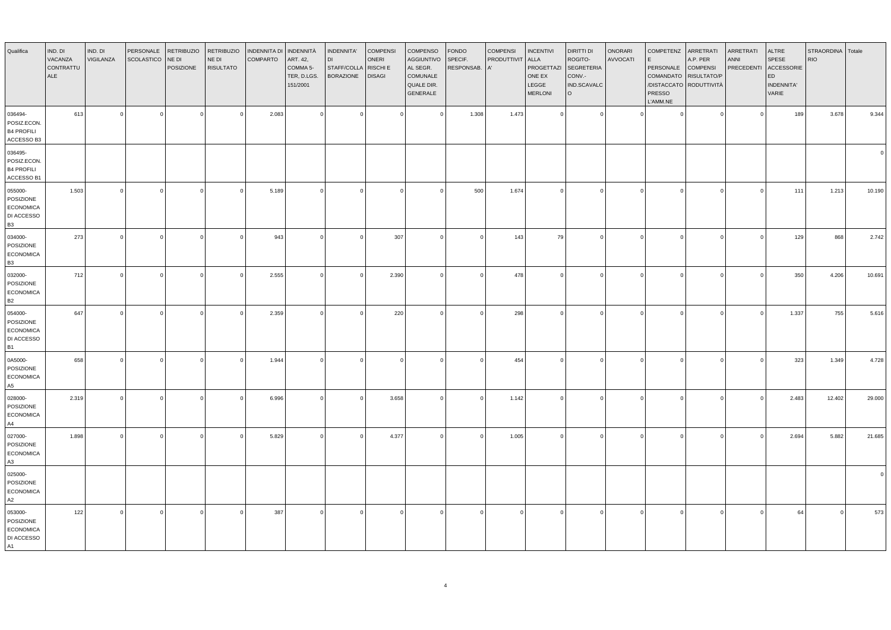| Qualifica                                                           | IND. DI<br>VACANZA<br>CONTRATTU<br>ALE | IND. DI<br>VIGILANZA | PERSONALE<br><b>SCOLASTICO</b> | <b>RETRIBUZIO</b><br>NE DI<br>POSIZIONE | <b>RETRIBUZIO</b><br>NE DI<br><b>RISULTATO</b> | INDENNITA DI<br><b>COMPARTO</b> | INDENNITÀ<br>ART. 42,<br>COMMA 5-<br>TER, D.LGS.<br>151/2001 | INDENNITA'<br><b>DI</b><br>STAFF/COLLA<br><b>BORAZIONE</b> | <b>COMPENSI</b><br>ONERI<br>RISCHI E<br><b>DISAGI</b> | COMPENSO<br><b>AGGIUNTIVO</b><br>AL SEGR.<br>COMUNALE<br>QUALE DIR.<br>GENERALE | <b>FONDO</b><br>SPECIF.<br>RESPONSAB. | <b>COMPENSI</b><br>PRODUTTIVIT<br>A' | <b>INCENTIVI</b><br><b>ALLA</b><br>PROGETTAZI<br>ONE EX<br>LEGGE<br><b>MERLONI</b> | DIRITTI DI<br>ROGITO-<br><b>SEGRETERIA</b><br>CONV.-<br>IND.SCAVALC<br>$\circ$ | ONORARI<br>AVVOCATI | <b>COMPETENZ</b><br>PERSONALE<br>PRESSO<br>L'AMM.NE | ARRETRATI<br>A.P. PER<br><b>COMPENSI</b><br>COMANDATO RISULTATO/P<br>/DISTACCATO RODUTTIVITÀ | ARRETRATI<br><b>ANNI</b><br><b>PRECEDENTI</b> | ALTRE<br>SPESE<br>ACCESSORIE<br>ED<br>INDENNITA'<br>VARIE | STRAORDINA Totale<br><b>RIO</b> |        |
|---------------------------------------------------------------------|----------------------------------------|----------------------|--------------------------------|-----------------------------------------|------------------------------------------------|---------------------------------|--------------------------------------------------------------|------------------------------------------------------------|-------------------------------------------------------|---------------------------------------------------------------------------------|---------------------------------------|--------------------------------------|------------------------------------------------------------------------------------|--------------------------------------------------------------------------------|---------------------|-----------------------------------------------------|----------------------------------------------------------------------------------------------|-----------------------------------------------|-----------------------------------------------------------|---------------------------------|--------|
| 036494-<br>POSIZ.ECON.<br><b>B4 PROFILI</b><br>ACCESSO B3           | 613                                    | $\Omega$             | $\Omega$                       | $\circ$                                 | $\Omega$                                       | 2.083                           | $\Omega$                                                     | $\Omega$                                                   | $\circ$                                               | $\Omega$                                                                        | 1.308                                 | 1.473                                | $\Omega$                                                                           | ol                                                                             |                     | $\Omega$                                            | $\Omega$                                                                                     | $\Omega$                                      | 189                                                       | 3.678                           | 9.344  |
| 036495-<br>POSIZ.ECON.<br><b>B4 PROFILI</b><br>ACCESSO B1           |                                        |                      |                                |                                         |                                                |                                 |                                                              |                                                            |                                                       |                                                                                 |                                       |                                      |                                                                                    |                                                                                |                     |                                                     |                                                                                              |                                               |                                                           |                                 |        |
| 055000-<br>POSIZIONE<br>ECONOMICA<br>DI ACCESSO<br><b>B3</b>        | 1.503                                  | $\Omega$             | $\Omega$                       | $\circ$                                 | $\Omega$                                       | 5.189                           | $\Omega$                                                     | $\overline{0}$                                             | $\Omega$                                              | $\Omega$                                                                        | 500                                   | 1.674                                | $\Omega$                                                                           | ol                                                                             | $\sqrt{ }$          | $\Omega$                                            | $\Omega$                                                                                     | $\Omega$                                      | 111                                                       | 1.213                           | 10.190 |
| 034000-<br>POSIZIONE<br><b>ECONOMICA</b><br><b>B3</b>               | 273                                    |                      | $\Omega$                       | $\mathbf 0$                             |                                                | 943                             | $\Omega$                                                     | $\overline{0}$                                             | 307                                                   |                                                                                 | $\circ$                               | 143                                  | 79                                                                                 | $\overline{0}$                                                                 | $\Omega$            | $\Omega$                                            | $\sqrt{ }$                                                                                   | $\Omega$                                      | 129                                                       | 868                             | 2.742  |
| 032000-<br>POSIZIONE<br><b>ECONOMICA</b><br><b>B2</b>               | 712                                    | $\Omega$             | $\overline{0}$                 | $\circ$                                 | $\Omega$                                       | 2.555                           | $\Omega$                                                     | $\overline{\mathbf{0}}$                                    | 2.390                                                 | $\Omega$                                                                        | $\circ$                               | 478                                  | $\Omega$                                                                           | 0                                                                              | $\Omega$            | $\circ$                                             | $\Omega$                                                                                     | $\Omega$                                      | 350                                                       | 4.206                           | 10.691 |
| 054000-<br>POSIZIONE<br><b>ECONOMICA</b><br>DI ACCESSO<br><b>B1</b> | 647                                    | $\Omega$             |                                | $\Omega$                                |                                                | 2.359                           | $\Omega$                                                     | $\Omega$                                                   | 220                                                   |                                                                                 | $\circ$                               | 298                                  | $\Omega$                                                                           | $\Omega$                                                                       | $\Omega$            | $\Omega$                                            | $\sqrt{ }$                                                                                   | $\Omega$                                      | 1.337                                                     | 755                             | 5.616  |
| 0A5000-<br>POSIZIONE<br><b>ECONOMICA</b><br>A5                      | 658                                    |                      | $\Omega$                       | $\mathbf 0$                             |                                                | 1.944                           |                                                              | $\overline{0}$                                             | $\mathbf 0$                                           |                                                                                 | $\mathbf{0}$                          | 454                                  | $\Omega$                                                                           | $\overline{0}$                                                                 |                     | $\Omega$                                            |                                                                                              | $\Omega$                                      | 323                                                       | 1.349                           | 4.728  |
| 028000-<br>POSIZIONE<br><b>ECONOMICA</b><br>A4                      | 2.319                                  | $\Omega$             | $\Omega$                       | $\circ$                                 | $\Omega$                                       | 6.996                           | $\Omega$                                                     | $\overline{\mathbf{0}}$                                    | 3.658                                                 | $\Omega$                                                                        | $\circ$                               | 1.142                                | $\Omega$                                                                           | ol                                                                             | $\Omega$            | $\circ$                                             | $\Omega$                                                                                     | $\Omega$                                      | 2.483                                                     | 12.402                          | 29.000 |
| 027000-<br>POSIZIONE<br><b>ECONOMICA</b><br>A3                      | 1.898                                  | $\Omega$             | $\overline{0}$                 | $\Omega$                                |                                                | 5.829                           | $\Omega$                                                     | $\Omega$                                                   | 4.377                                                 | $\Omega$                                                                        | $\circ$                               | 1.005                                | $\Omega$                                                                           | $\Omega$                                                                       | $\Omega$            | $\Omega$                                            | $\mathfrak{g}$                                                                               | $\Omega$                                      | 2.694                                                     | 5.882                           | 21.685 |
| 025000-<br>POSIZIONE<br><b>ECONOMICA</b><br>A2                      |                                        |                      |                                |                                         |                                                |                                 |                                                              |                                                            |                                                       |                                                                                 |                                       |                                      |                                                                                    |                                                                                |                     |                                                     |                                                                                              |                                               |                                                           |                                 |        |
| 053000-<br>POSIZIONE<br><b>ECONOMICA</b><br>DI ACCESSO<br>A1        | 122                                    | $\Omega$             | $\Omega$                       | $\Omega$                                |                                                | 387                             |                                                              | $\Omega$                                                   | $\Omega$                                              |                                                                                 | $\Omega$                              | $\Omega$                             |                                                                                    | $\Omega$                                                                       |                     |                                                     | $\sqrt{ }$                                                                                   |                                               | 64                                                        | $\Omega$                        | 573    |